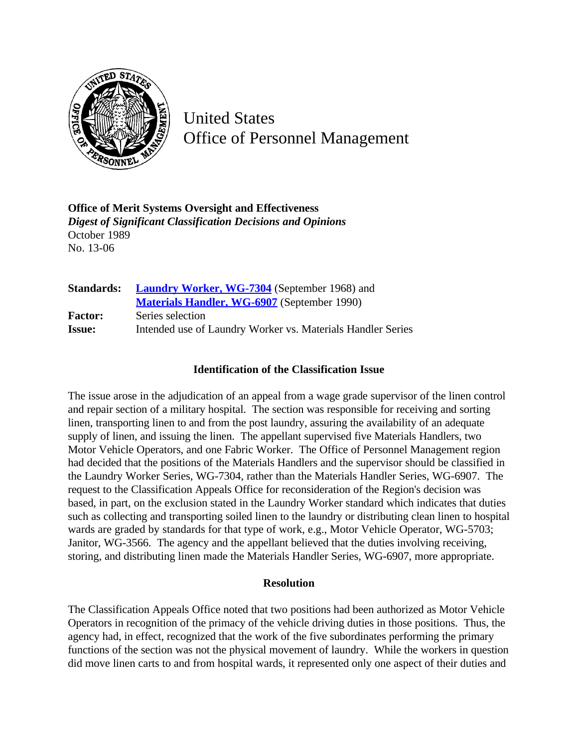

United States Office of Personnel Management

**Office of Merit Systems Oversight and Effectiveness** *Digest of Significant Classification Decisions and Opinions* October 1989 No. 13-06

| <b>Standards:</b> | <b>Laundry Worker, WG-7304</b> (September 1968) and         |
|-------------------|-------------------------------------------------------------|
|                   | <b>Materials Handler, WG-6907</b> (September 1990)          |
| <b>Factor:</b>    | Series selection                                            |
| <b>Issue:</b>     | Intended use of Laundry Worker vs. Materials Handler Series |

## **Identification of the Classification Issue**

The issue arose in the adjudication of an appeal from a wage grade supervisor of the linen control and repair section of a military hospital. The section was responsible for receiving and sorting linen, transporting linen to and from the post laundry, assuring the availability of an adequate supply of linen, and issuing the linen. The appellant supervised five Materials Handlers, two Motor Vehicle Operators, and one Fabric Worker. The Office of Personnel Management region had decided that the positions of the Materials Handlers and the supervisor should be classified in the Laundry Worker Series, WG-7304, rather than the Materials Handler Series, WG-6907. The request to the Classification Appeals Office for reconsideration of the Region's decision was based, in part, on the exclusion stated in the Laundry Worker standard which indicates that duties such as collecting and transporting soiled linen to the laundry or distributing clean linen to hospital wards are graded by standards for that type of work, e.g., Motor Vehicle Operator, WG-5703; Janitor, WG-3566. The agency and the appellant believed that the duties involving receiving, storing, and distributing linen made the Materials Handler Series, WG-6907, more appropriate.

## **Resolution**

The Classification Appeals Office noted that two positions had been authorized as Motor Vehicle Operators in recognition of the primacy of the vehicle driving duties in those positions. Thus, the agency had, in effect, recognized that the work of the five subordinates performing the primary functions of the section was not the physical movement of laundry. While the workers in question did move linen carts to and from hospital wards, it represented only one aspect of their duties and